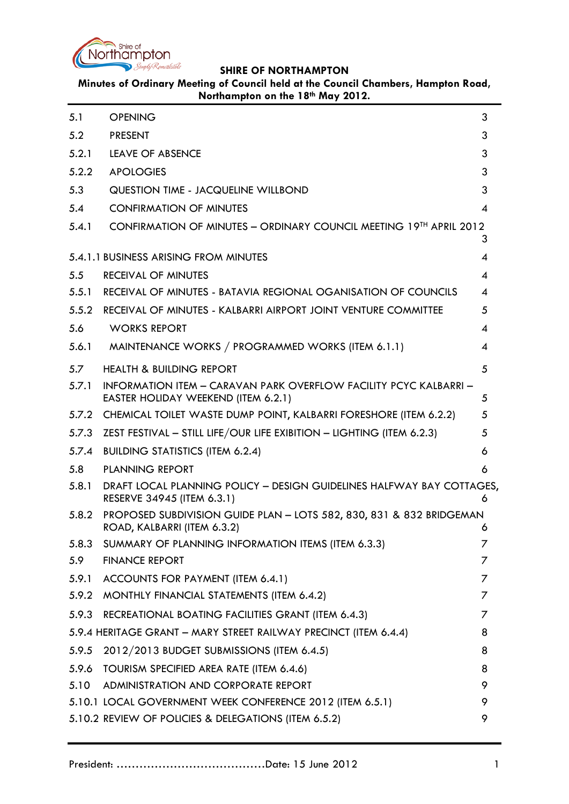

**Minutes of Ordinary Meeting of Council held at the Council Chambers, Hampton Road, Northampton on the 18th May 2012.**

<span id="page-0-0"></span>

| 5.1   | <b>OPENING</b>                                                                                                  | 3              |
|-------|-----------------------------------------------------------------------------------------------------------------|----------------|
| 5.2   | <b>PRESENT</b>                                                                                                  | 3              |
| 5.2.1 | LEAVE OF ABSENCE                                                                                                | 3              |
| 5.2.2 | <b>APOLOGIES</b>                                                                                                | 3              |
| 5.3   | QUESTION TIME - JACQUELINE WILLBOND                                                                             | 3              |
| 5.4   | <b>CONFIRMATION OF MINUTES</b>                                                                                  | $\overline{4}$ |
| 5.4.1 | CONFIRMATION OF MINUTES - ORDINARY COUNCIL MEETING 19TH APRIL 2012                                              | 3              |
|       | 5.4.1.1 BUSINESS ARISING FROM MINUTES                                                                           | 4              |
| 5.5   | RECEIVAL OF MINUTES                                                                                             | 4              |
| 5.5.1 | RECEIVAL OF MINUTES - BATAVIA REGIONAL OGANISATION OF COUNCILS                                                  | $\overline{4}$ |
| 5.5.2 | RECEIVAL OF MINUTES - KALBARRI AIRPORT JOINT VENTURE COMMITTEE                                                  | 5              |
| 5.6   | <b>WORKS REPORT</b>                                                                                             | 4              |
| 5.6.1 | MAINTENANCE WORKS / PROGRAMMED WORKS (ITEM 6.1.1)                                                               | 4              |
| 5.7   | <b>HEALTH &amp; BUILDING REPORT</b>                                                                             | 5              |
| 5.7.1 | <b>INFORMATION ITEM - CARAVAN PARK OVERFLOW FACILITY PCYC KALBARRI -</b><br>EASTER HOLIDAY WEEKEND (ITEM 6.2.1) | 5              |
|       | 5.7.2 CHEMICAL TOILET WASTE DUMP POINT, KALBARRI FORESHORE (ITEM 6.2.2)                                         | 5              |
| 5.7.3 | ZEST FESTIVAL - STILL LIFE/OUR LIFE EXIBITION - LIGHTING (ITEM 6.2.3)                                           | 5              |
| 5.7.4 | <b>BUILDING STATISTICS (ITEM 6.2.4)</b>                                                                         | 6              |
| 5.8   | <b>PLANNING REPORT</b>                                                                                          | 6              |
| 5.8.1 | DRAFT LOCAL PLANNING POLICY - DESIGN GUIDELINES HALFWAY BAY COTTAGES,<br>RESERVE 34945 (ITEM 6.3.1)             | 6              |
| 5.8.2 | PROPOSED SUBDIVISION GUIDE PLAN - LOTS 582, 830, 831 & 832 BRIDGEMAN<br>ROAD, KALBARRI (ITEM 6.3.2)             | 6              |
| 5.8.3 | SUMMARY OF PLANNING INFORMATION ITEMS (ITEM 6.3.3)                                                              | 7              |
| 5.9   | <b>FINANCE REPORT</b>                                                                                           | 7              |
| 5.9.1 | ACCOUNTS FOR PAYMENT (ITEM 6.4.1)                                                                               | 7              |
| 5.9.2 | MONTHLY FINANCIAL STATEMENTS (ITEM 6.4.2)                                                                       | 7              |
| 5.9.3 | RECREATIONAL BOATING FACILITIES GRANT (ITEM 6.4.3)                                                              | 7              |
|       | 5.9.4 HERITAGE GRANT - MARY STREET RAILWAY PRECINCT (ITEM 6.4.4)                                                | 8              |
| 5.9.5 | 2012/2013 BUDGET SUBMISSIONS (ITEM 6.4.5)                                                                       | 8              |
| 5.9.6 | TOURISM SPECIFIED AREA RATE (ITEM 6.4.6)                                                                        | 8              |
| 5.10  | ADMINISTRATION AND CORPORATE REPORT                                                                             | 9              |
|       | 5.10.1 LOCAL GOVERNMENT WEEK CONFERENCE 2012 (ITEM 6.5.1)                                                       | 9              |
|       | 5.10.2 REVIEW OF POLICIES & DELEGATIONS (ITEM 6.5.2)                                                            | 9              |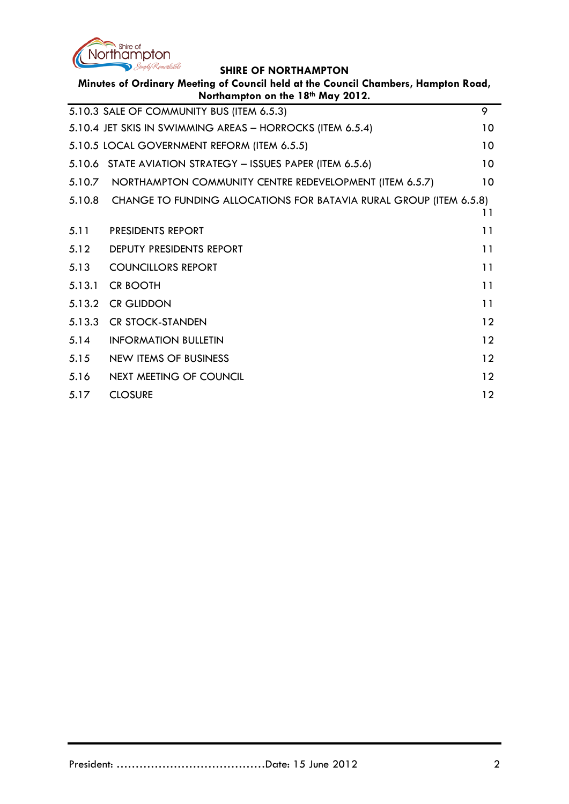

| Minutes of Ordinary Meeting of Council held at the Council Chambers, Hampton Road,<br>Northampton on the 18th May 2012. |                                                                    |    |  |  |
|-------------------------------------------------------------------------------------------------------------------------|--------------------------------------------------------------------|----|--|--|
|                                                                                                                         | 5.10.3 SALE OF COMMUNITY BUS (ITEM 6.5.3)                          | 9  |  |  |
|                                                                                                                         | 5.10.4 JET SKIS IN SWIMMING AREAS - HORROCKS (ITEM 6.5.4)          | 10 |  |  |
|                                                                                                                         | 5.10.5 LOCAL GOVERNMENT REFORM (ITEM 6.5.5)                        | 10 |  |  |
|                                                                                                                         | 5.10.6 STATE AVIATION STRATEGY - ISSUES PAPER (ITEM 6.5.6)         | 10 |  |  |
| 5.10.7                                                                                                                  | NORTHAMPTON COMMUNITY CENTRE REDEVELOPMENT (ITEM 6.5.7)            | 10 |  |  |
| 5.10.8                                                                                                                  | CHANGE TO FUNDING ALLOCATIONS FOR BATAVIA RURAL GROUP (ITEM 6.5.8) | 11 |  |  |
| 5.11                                                                                                                    | <b>PRESIDENTS REPORT</b>                                           | 11 |  |  |
| 5.12                                                                                                                    | <b>DEPUTY PRESIDENTS REPORT</b>                                    | 11 |  |  |
| 5.13                                                                                                                    | <b>COUNCILLORS REPORT</b>                                          | 11 |  |  |
| 5.13.1                                                                                                                  | <b>CR BOOTH</b>                                                    | 11 |  |  |
| 5.13.2                                                                                                                  | <b>CR GLIDDON</b>                                                  | 11 |  |  |
| 5.13.3                                                                                                                  | <b>CR STOCK-STANDEN</b>                                            | 12 |  |  |
| 5.14                                                                                                                    | <b>INFORMATION BULLETIN</b>                                        | 12 |  |  |
| 5.15                                                                                                                    | NEW ITEMS OF BUSINESS                                              | 12 |  |  |
| 5.16                                                                                                                    | <b>NEXT MEETING OF COUNCIL</b>                                     | 12 |  |  |
| 5.17                                                                                                                    | <b>CLOSURE</b>                                                     | 12 |  |  |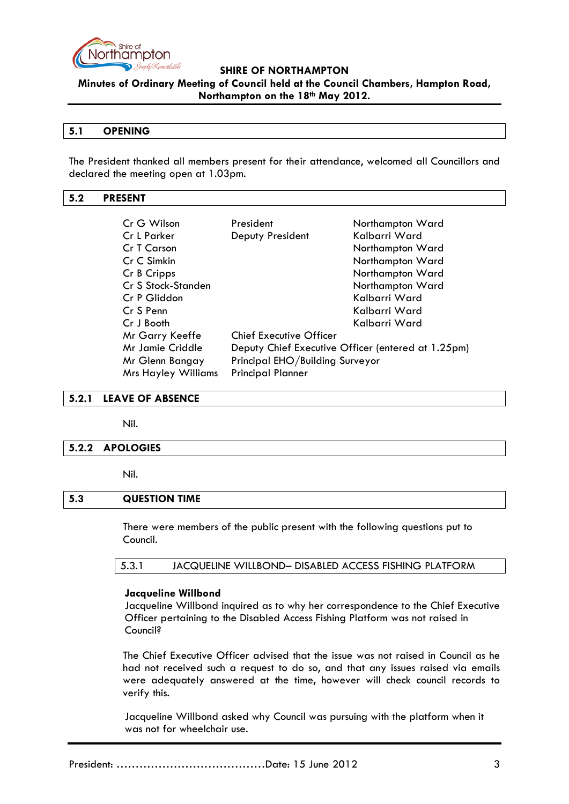

**Minutes of Ordinary Meeting of Council held at the Council Chambers, Hampton Road, Northampton on the 18th May 2012.**

## **5.1 OPENING**

The President thanked all members present for their attendance, welcomed all Councillors and declared the meeting open at 1.03pm.

## <span id="page-2-0"></span>**5.2 PRESENT**

| Cr G Wilson                | President                                          | Northampton Ward |  |
|----------------------------|----------------------------------------------------|------------------|--|
| Cr L Parker                | Deputy President                                   | Kalbarri Ward    |  |
| Cr T Carson                |                                                    | Northampton Ward |  |
| Cr C Simkin                |                                                    | Northampton Ward |  |
| Cr B Cripps                |                                                    | Northampton Ward |  |
| Cr S Stock-Standen         |                                                    | Northampton Ward |  |
| Cr P Gliddon               |                                                    | Kalbarri Ward    |  |
| Cr S Penn                  |                                                    | Kalbarri Ward    |  |
| Cr J Booth                 |                                                    | Kalbarri Ward    |  |
| Mr Garry Keeffe            | <b>Chief Executive Officer</b>                     |                  |  |
| Mr Jamie Criddle           | Deputy Chief Executive Officer (entered at 1.25pm) |                  |  |
| Mr Glenn Bangay            | Principal EHO/Building Surveyor                    |                  |  |
| <b>Mrs Hayley Williams</b> | <b>Principal Planner</b>                           |                  |  |

## <span id="page-2-1"></span>**5.2.1 LEAVE OF ABSENCE**

Nil.

### <span id="page-2-2"></span>**5.2.2 APOLOGIES**

Nil.

## <span id="page-2-3"></span>**5.3 QUESTION TIME**

There were members of the public present with the following questions put to Council.

5.3.1 JACQUELINE WILLBOND– DISABLED ACCESS FISHING PLATFORM

### **Jacqueline Willbond**

Jacqueline Willbond inquired as to why her correspondence to the Chief Executive Officer pertaining to the Disabled Access Fishing Platform was not raised in Council?

The Chief Executive Officer advised that the issue was not raised in Council as he had not received such a request to do so, and that any issues raised via emails were adequately answered at the time, however will check council records to verify this.

Jacqueline Willbond asked why Council was pursuing with the platform when it was not for wheelchair use.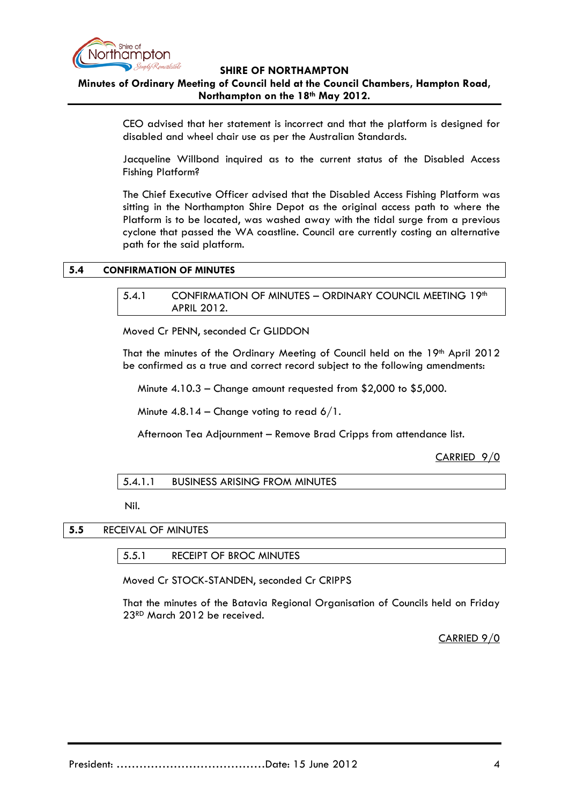

# **Minutes of Ordinary Meeting of Council held at the Council Chambers, Hampton Road, Northampton on the 18th May 2012.**

CEO advised that her statement is incorrect and that the platform is designed for disabled and wheel chair use as per the Australian Standards.

Jacqueline Willbond inquired as to the current status of the Disabled Access Fishing Platform?

The Chief Executive Officer advised that the Disabled Access Fishing Platform was sitting in the Northampton Shire Depot as the original access path to where the Platform is to be located, was washed away with the tidal surge from a previous cyclone that passed the WA coastline. Council are currently costing an alternative path for the said platform.

#### <span id="page-3-1"></span><span id="page-3-0"></span>**5.4 CONFIRMATION OF MINUTES**

### 5.4.1 CONFIRMATION OF MINUTES - ORDINARY COUNCIL MEETING 19th APRIL 2012.

Moved Cr PENN, seconded Cr GLIDDON

That the minutes of the Ordinary Meeting of Council held on the 19th April 2012 be confirmed as a true and correct record subject to the following amendments:

Minute 4.10.3 – Change amount requested from \$2,000 to \$5,000.

Minute  $4.8.14$  – Change voting to read  $6/1$ .

Afternoon Tea Adjournment – Remove Brad Cripps from attendance list.

CARRIED 9/0

### 5.4.1.1 BUSINESS ARISING FROM MINUTES

Nil.

### **5.5** RECEIVAL OF MINUTES

5.5.1 RECEIPT OF BROC MINUTES

Moved Cr STOCK-STANDEN, seconded Cr CRIPPS

That the minutes of the Batavia Regional Organisation of Councils held on Friday 23RD March 2012 be received.

CARRIED 9/0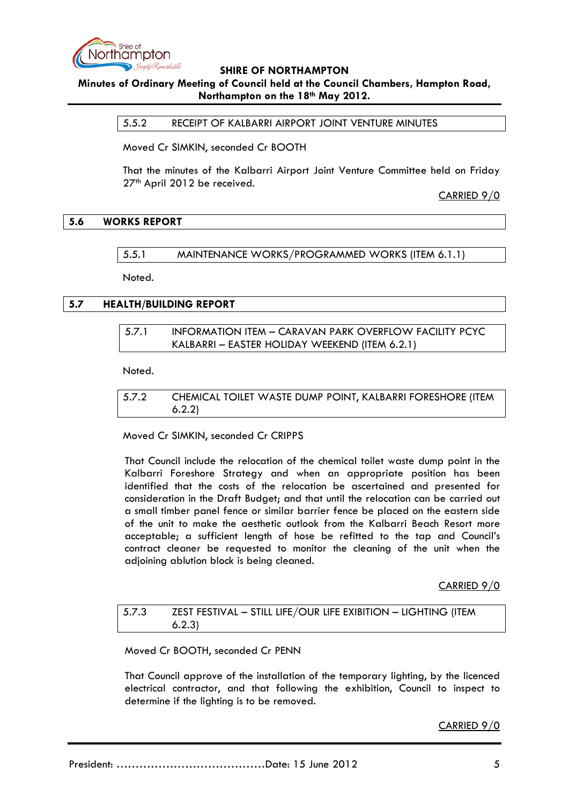

## **Minutes of Ordinary Meeting of Council held at the Council Chambers, Hampton Road, Northampton on the 18th May 2012.**

5.5.2 RECEIPT OF KALBARRI AIRPORT JOINT VENTURE MINUTES

Moved Cr SIMKIN, seconded Cr BOOTH

That the minutes of the Kalbarri Airport Joint Venture Committee held on Friday 27<sup>th</sup> April 2012 be received.

CARRIED 9/0

### **5.6 WORKS REPORT**

5.5.1 MAINTENANCE WORKS/PROGRAMMED WORKS (ITEM 6.1.1)

Noted.

## **5.7 HEALTH/BUILDING REPORT**

| 5.7.1 | <b>INFORMATION ITEM - CARAVAN PARK OVERFLOW FACILITY PCYC</b> |
|-------|---------------------------------------------------------------|
|       | KALBARRI – EASTER HOLIDAY WEEKEND (ITEM 6.2.1)                |

Noted.

# 5.7.2 CHEMICAL TOILET WASTE DUMP POINT, KALBARRI FORESHORE (ITEM 6.2.2)

Moved Cr SIMKIN, seconded Cr CRIPPS

That Council include the relocation of the chemical toilet waste dump point in the Kalbarri Foreshore Strategy and when an appropriate position has been identified that the costs of the relocation be ascertained and presented for consideration in the Draft Budget; and that until the relocation can be carried out a small timber panel fence or similar barrier fence be placed on the eastern side of the unit to make the aesthetic outlook from the Kalbarri Beach Resort more acceptable; a sufficient length of hose be refitted to the tap and Council's contract cleaner be requested to monitor the cleaning of the unit when the adjoining ablution block is being cleaned.

CARRIED 9/0

| 5.7.3 | ZEST FESTIVAL - STILL LIFE/OUR LIFE EXIBITION - LIGHTING (ITEM |
|-------|----------------------------------------------------------------|
|       | 6.2.3                                                          |

Moved Cr BOOTH, seconded Cr PENN

That Council approve of the installation of the temporary lighting, by the licenced electrical contractor, and that following the exhibition, Council to inspect to determine if the lighting is to be removed.

CARRIED 9/0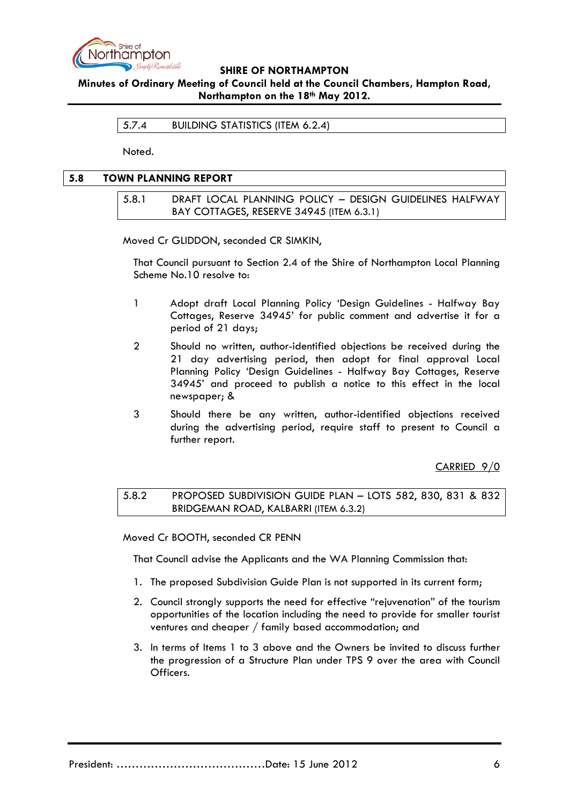

**Minutes of Ordinary Meeting of Council held at the Council Chambers, Hampton Road, Northampton on the 18th May 2012.**

5.7.4 BUILDING STATISTICS (ITEM 6.2.4)

Noted.

## **5.8 TOWN PLANNING REPORT**

5.8.1 DRAFT LOCAL PLANNING POLICY – DESIGN GUIDELINES HALFWAY BAY COTTAGES, RESERVE 34945 (ITEM 6.3.1)

Moved Cr GLIDDON, seconded CR SIMKIN,

That Council pursuant to Section 2.4 of the Shire of Northampton Local Planning Scheme No.10 resolve to:

- 1 Adopt draft Local Planning Policy 'Design Guidelines Halfway Bay Cottages, Reserve 34945' for public comment and advertise it for a period of 21 days;
- 2 Should no written, author-identified objections be received during the 21 day advertising period, then adopt for final approval Local Planning Policy 'Design Guidelines - Halfway Bay Cottages, Reserve 34945' and proceed to publish a notice to this effect in the local newspaper; &
- 3 Should there be any written, author-identified objections received during the advertising period, require staff to present to Council a further report.

CARRIED 9/0

## 5.8.2 PROPOSED SUBDIVISION GUIDE PLAN – LOTS 582, 830, 831 & 832 BRIDGEMAN ROAD, KALBARRI (ITEM 6.3.2)

Moved Cr BOOTH, seconded CR PENN

That Council advise the Applicants and the WA Planning Commission that:

- 1. The proposed Subdivision Guide Plan is not supported in its current form;
- 2. Council strongly supports the need for effective "rejuvenation" of the tourism opportunities of the location including the need to provide for smaller tourist ventures and cheaper / family based accommodation; and
- 3. In terms of Items 1 to 3 above and the Owners be invited to discuss further the progression of a Structure Plan under TPS 9 over the area with Council Officers.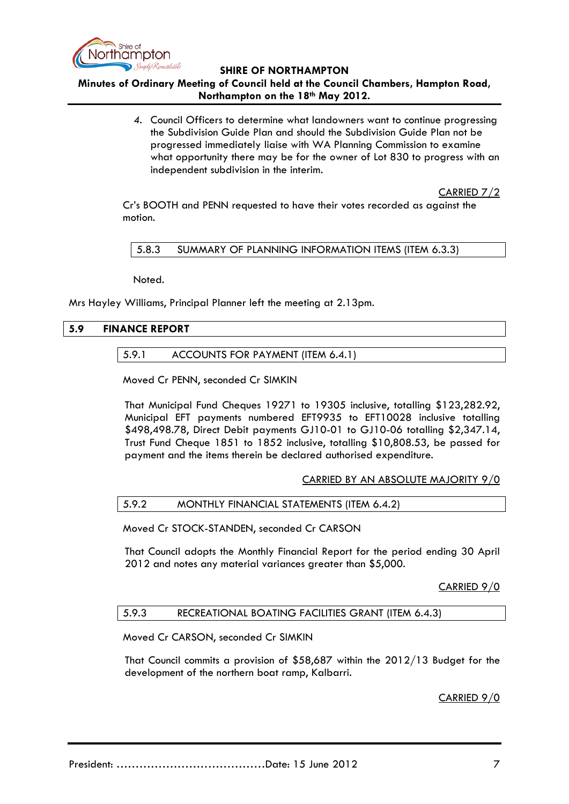

# **Minutes of Ordinary Meeting of Council held at the Council Chambers, Hampton Road, Northampton on the 18th May 2012.**

*4.* Council Officers to determine what landowners want to continue progressing the Subdivision Guide Plan and should the Subdivision Guide Plan not be progressed immediately liaise with WA Planning Commission to examine what opportunity there may be for the owner of Lot 830 to progress with an independent subdivision in the interim.

CARRIED 7/2

Cr's BOOTH and PENN requested to have their votes recorded as against the motion.

5.8.3 SUMMARY OF PLANNING INFORMATION ITEMS (ITEM 6.3.3)

Noted.

Mrs Hayley Williams, Principal Planner left the meeting at 2.13pm.

### **5.9 FINANCE REPORT**

### 5.9.1 ACCOUNTS FOR PAYMENT (ITEM 6.4.1)

Moved Cr PENN, seconded Cr SIMKIN

That Municipal Fund Cheques 19271 to 19305 inclusive, totalling \$123,282.92, Municipal EFT payments numbered EFT9935 to EFT10028 inclusive totalling \$498,498.78, Direct Debit payments GJ10-01 to GJ10-06 totalling \$2,347.14, Trust Fund Cheque 1851 to 1852 inclusive, totalling \$10,808.53, be passed for payment and the items therein be declared authorised expenditure.

CARRIED BY AN ABSOLUTE MAJORITY 9/0

#### 5.9.2 MONTHLY FINANCIAL STATEMENTS (ITEM 6.4.2)

Moved Cr STOCK-STANDEN, seconded Cr CARSON

That Council adopts the Monthly Financial Report for the period ending 30 April 2012 and notes any material variances greater than \$5,000.

CARRIED 9/0

#### 5.9.3 RECREATIONAL BOATING FACILITIES GRANT (ITEM 6.4.3)

Moved Cr CARSON, seconded Cr SIMKIN

That Council commits a provision of \$58,687 within the 2012/13 Budget for the development of the northern boat ramp, Kalbarri.

CARRIED 9/0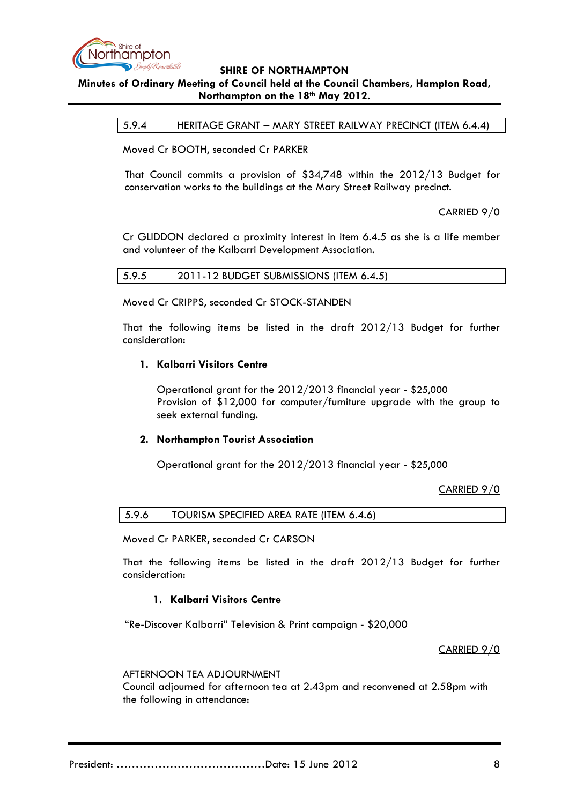

# **Minutes of Ordinary Meeting of Council held at the Council Chambers, Hampton Road, Northampton on the 18th May 2012.**

5.9.4 HERITAGE GRANT – MARY STREET RAILWAY PRECINCT (ITEM 6.4.4)

Moved Cr BOOTH, seconded Cr PARKER

That Council commits a provision of \$34,748 within the 2012/13 Budget for conservation works to the buildings at the Mary Street Railway precinct.

CARRIED 9/0

Cr GLIDDON declared a proximity interest in item 6.4.5 as she is a life member and volunteer of the Kalbarri Development Association.

5.9.5 2011-12 BUDGET SUBMISSIONS (ITEM 6.4.5)

Moved Cr CRIPPS, seconded Cr STOCK-STANDEN

That the following items be listed in the draft 2012/13 Budget for further consideration:

#### **1. Kalbarri Visitors Centre**

Operational grant for the 2012/2013 financial year - \$25,000 Provision of \$12,000 for computer/furniture upgrade with the group to seek external funding.

### **2. Northampton Tourist Association**

Operational grant for the 2012/2013 financial year - \$25,000

CARRIED 9/0

5.9.6 TOURISM SPECIFIED AREA RATE (ITEM 6.4.6)

Moved Cr PARKER, seconded Cr CARSON

That the following items be listed in the draft 2012/13 Budget for further consideration:

### **1. Kalbarri Visitors Centre**

"Re-Discover Kalbarri" Television & Print campaign - \$20,000

### CARRIED 9/0

#### AFTERNOON TEA ADJOURNMENT

Council adjourned for afternoon tea at 2.43pm and reconvened at 2.58pm with the following in attendance: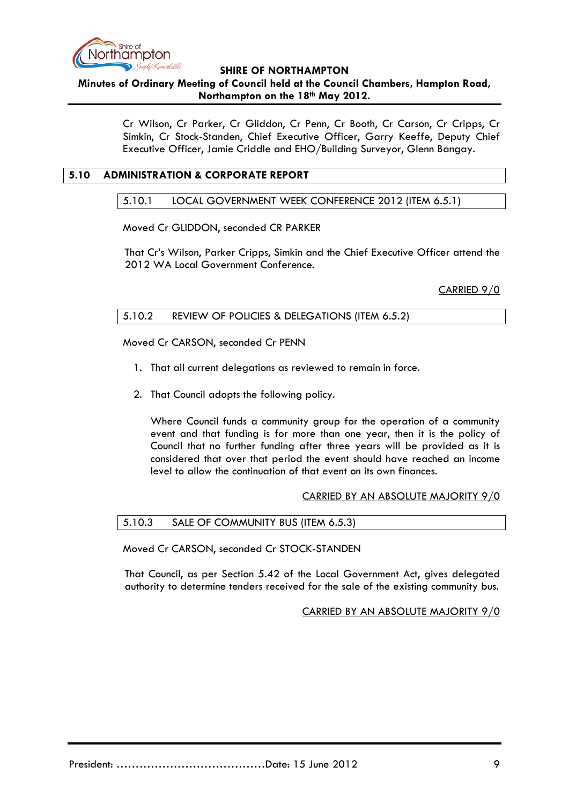

**Minutes of Ordinary Meeting of Council held at the Council Chambers, Hampton Road, Northampton on the 18th May 2012.**

> Cr Wilson, Cr Parker, Cr Gliddon, Cr Penn, Cr Booth, Cr Carson, Cr Cripps, Cr Simkin, Cr Stock-Standen, Chief Executive Officer, Garry Keeffe, Deputy Chief Executive Officer, Jamie Criddle and EHO/Building Surveyor, Glenn Bangay.

## **5.10 ADMINISTRATION & CORPORATE REPORT**

### 5.10.1 LOCAL GOVERNMENT WEEK CONFERENCE 2012 (ITEM 6.5.1)

Moved Cr GLIDDON, seconded CR PARKER

That Cr's Wilson, Parker Cripps, Simkin and the Chief Executive Officer attend the 2012 WA Local Government Conference.

CARRIED 9/0

## 5.10.2 REVIEW OF POLICIES & DELEGATIONS (ITEM 6.5.2)

Moved Cr CARSON, seconded Cr PENN

- 1. That all current delegations as reviewed to remain in force.
- 2. That Council adopts the following policy.

Where Council funds a community group for the operation of a community event and that funding is for more than one year, then it is the policy of Council that no further funding after three years will be provided as it is considered that over that period the event should have reached an income level to allow the continuation of that event on its own finances.

### CARRIED BY AN ABSOLUTE MAJORITY 9/0

### 5.10.3 SALE OF COMMUNITY BUS (ITEM 6.5.3)

Moved Cr CARSON, seconded Cr STOCK-STANDEN

That Council, as per Section 5.42 of the Local Government Act, gives delegated authority to determine tenders received for the sale of the existing community bus.

### CARRIED BY AN ABSOLUTE MAJORITY 9/0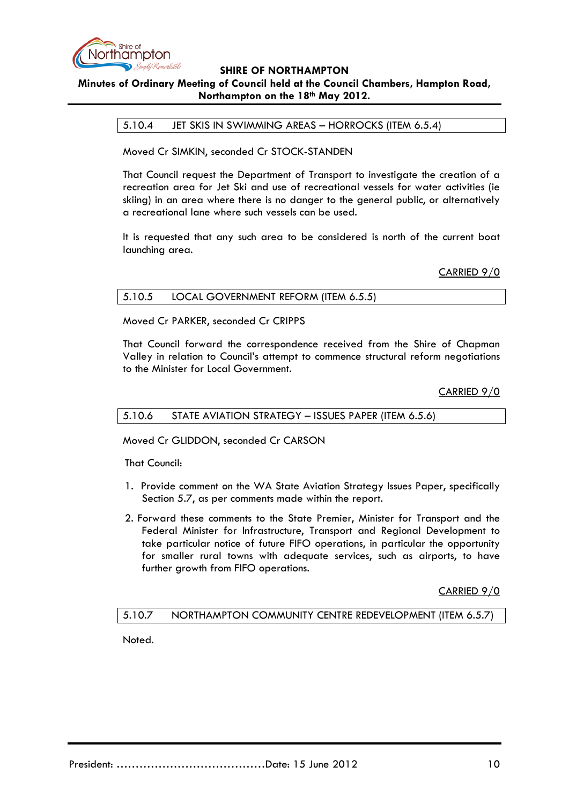

## **Minutes of Ordinary Meeting of Council held at the Council Chambers, Hampton Road, Northampton on the 18th May 2012.**

5.10.4 JET SKIS IN SWIMMING AREAS – HORROCKS (ITEM 6.5.4)

Moved Cr SIMKIN, seconded Cr STOCK-STANDEN

That Council request the Department of Transport to investigate the creation of a recreation area for Jet Ski and use of recreational vessels for water activities (ie skiing) in an area where there is no danger to the general public, or alternatively a recreational lane where such vessels can be used.

It is requested that any such area to be considered is north of the current boat launching area.

CARRIED 9/0

Moved Cr PARKER, seconded Cr CRIPPS

That Council forward the correspondence received from the Shire of Chapman Valley in relation to Council's attempt to commence structural reform negotiations to the Minister for Local Government.

CARRIED 9/0

### 5.10.6 STATE AVIATION STRATEGY – ISSUES PAPER (ITEM 6.5.6)

Moved Cr GLIDDON, seconded Cr CARSON

That Council:

- 1. Provide comment on the WA State Aviation Strategy Issues Paper, specifically Section 5.7, as per comments made within the report.
- 2. Forward these comments to the State Premier, Minister for Transport and the Federal Minister for Infrastructure, Transport and Regional Development to take particular notice of future FIFO operations, in particular the opportunity for smaller rural towns with adequate services, such as airports, to have further growth from FIFO operations.

CARRIED 9/0

### 5.10.7 NORTHAMPTON COMMUNITY CENTRE REDEVELOPMENT (ITEM 6.5.7)

Noted.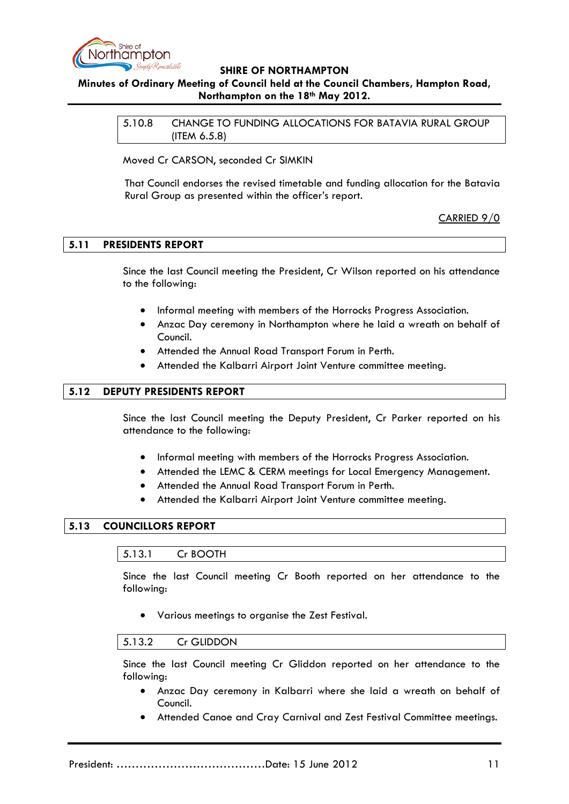

# **Minutes of Ordinary Meeting of Council held at the Council Chambers, Hampton Road, Northampton on the 18th May 2012.**

5.10.8 CHANGE TO FUNDING ALLOCATIONS FOR BATAVIA RURAL GROUP (ITEM 6.5.8)

Moved Cr CARSON, seconded Cr SIMKIN

That Council endorses the revised timetable and funding allocation for the Batavia Rural Group as presented within the officer's report.

CARRIED 9/0

## **5.11 PRESIDENTS REPORT**

Since the last Council meeting the President, Cr Wilson reported on his attendance to the following:

- Informal meeting with members of the Horrocks Progress Association.
- Anzac Day ceremony in Northampton where he laid a wreath on behalf of Council.
- Attended the Annual Road Transport Forum in Perth.
- Attended the Kalbarri Airport Joint Venture committee meeting.

## **5.12 DEPUTY PRESIDENTS REPORT**

Since the last Council meeting the Deputy President, Cr Parker reported on his attendance to the following:

- Informal meeting with members of the Horrocks Progress Association.
- Attended the LEMC & CERM meetings for Local Emergency Management.
- Attended the Annual Road Transport Forum in Perth.
- Attended the Kalbarri Airport Joint Venture committee meeting.

## **5.13 COUNCILLORS REPORT**

### 5.13.1 Cr BOOTH

Since the last Council meeting Cr Booth reported on her attendance to the following:

• Various meetings to organise the Zest Festival.

### 5.13.2 Cr GLIDDON

Since the last Council meeting Cr Gliddon reported on her attendance to the following:

- Anzac Day ceremony in Kalbarri where she laid a wreath on behalf of Council.
- Attended Canoe and Cray Carnival and Zest Festival Committee meetings.